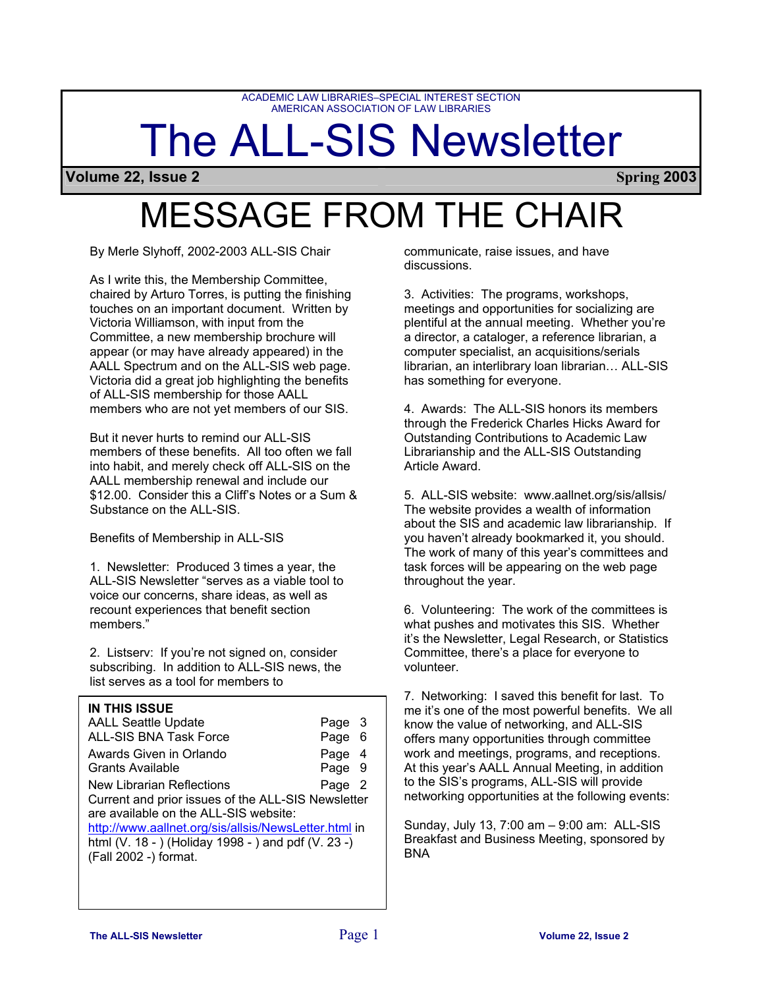ACADEMIC LAW LIBRARIES–SPECIAL INTEREST SECTION AMERICAN ASSOCIATION OF LAW LIBRARIES

# The ALL-SIS Newsletter

**Volume 22, Issue 2 Spring 2003**

# MESSAGE FROM THE CHAIR

By Merle Slyhoff, 2002-2003 ALL-SIS Chair

As I write this, the Membership Committee, chaired by Arturo Torres, is putting the finishing touches on an important document. Written by Victoria Williamson, with input from the Committee, a new membership brochure will appear (or may have already appeared) in the AALL Spectrum and on the ALL-SIS web page. Victoria did a great job highlighting the benefits of ALL-SIS membership for those AALL members who are not yet members of our SIS.

But it never hurts to remind our ALL-SIS members of these benefits. All too often we fall into habit, and merely check off ALL-SIS on the AALL membership renewal and include our \$12.00. Consider this a Cliff's Notes or a Sum & Substance on the ALL-SIS.

Benefits of Membership in ALL-SIS

1. Newsletter: Produced 3 times a year, the ALL-SIS Newsletter "serves as a viable tool to voice our concerns, share ideas, as well as recount experiences that benefit section members."

2. Listserv: If you're not signed on, consider subscribing. In addition to ALL-SIS news, the list serves as a tool for members to

### **IN THIS ISSUE**

| <b>AALL Seattle Update</b>                           | Page 3 |     |  |  |
|------------------------------------------------------|--------|-----|--|--|
| <b>ALL-SIS BNA Task Force</b>                        | Page   | - 6 |  |  |
| Awards Given in Orlando                              | Page   | - 4 |  |  |
| <b>Grants Available</b>                              | Page 9 |     |  |  |
| <b>New Librarian Reflections</b>                     | Page   | - 2 |  |  |
| Current and prior issues of the ALL-SIS Newsletter   |        |     |  |  |
| are available on the ALL-SIS website:                |        |     |  |  |
| http://www.aallnet.org/sis/allsis/NewsLetter.html in |        |     |  |  |
| html (V. 18 - ) (Holiday 1998 - ) and pdf (V. 23 -)  |        |     |  |  |
| (Fall 2002 -) format.                                |        |     |  |  |

communicate, raise issues, and have discussions.

3. Activities: The programs, workshops, meetings and opportunities for socializing are plentiful at the annual meeting. Whether you're a director, a cataloger, a reference librarian, a computer specialist, an acquisitions/serials librarian, an interlibrary loan librarian… ALL-SIS has something for everyone.

4. Awards: The ALL-SIS honors its members through the Frederick Charles Hicks Award for Outstanding Contributions to Academic Law Librarianship and the ALL-SIS Outstanding Article Award.

5. ALL-SIS website: www.aallnet.org/sis/allsis/ The website provides a wealth of information about the SIS and academic law librarianship. If you haven't already bookmarked it, you should. The work of many of this year's committees and task forces will be appearing on the web page throughout the year.

6. Volunteering: The work of the committees is what pushes and motivates this SIS. Whether it's the Newsletter, Legal Research, or Statistics Committee, there's a place for everyone to volunteer.

7. Networking: I saved this benefit for last. To me it's one of the most powerful benefits. We all know the value of networking, and ALL-SIS offers many opportunities through committee work and meetings, programs, and receptions. At this year's AALL Annual Meeting, in addition to the SIS's programs, ALL-SIS will provide networking opportunities at the following events:

Sunday, July 13, 7:00 am – 9:00 am: ALL-SIS Breakfast and Business Meeting, sponsored by **BNA**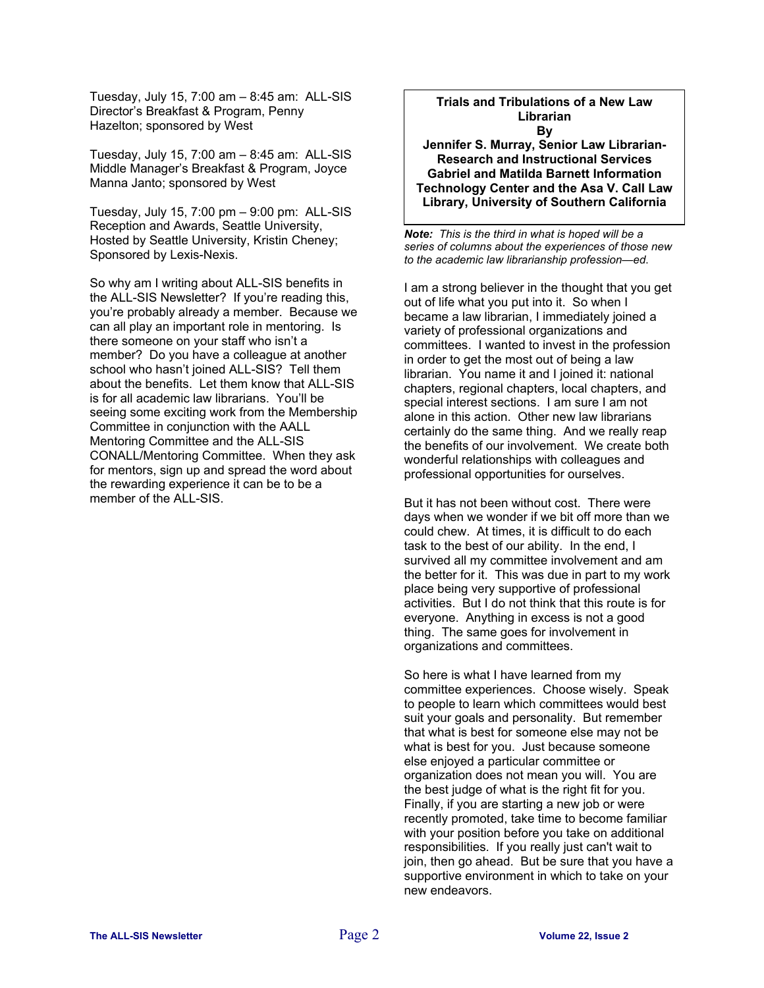Tuesday, July 15, 7:00 am – 8:45 am: ALL-SIS Director's Breakfast & Program, Penny Hazelton; sponsored by West

Tuesday, July 15, 7:00 am – 8:45 am: ALL-SIS Middle Manager's Breakfast & Program, Joyce Manna Janto; sponsored by West

Tuesday, July 15, 7:00 pm – 9:00 pm: ALL-SIS Reception and Awards, Seattle University, Hosted by Seattle University, Kristin Cheney; Sponsored by Lexis-Nexis.

So why am I writing about ALL-SIS benefits in the ALL-SIS Newsletter? If you're reading this, you're probably already a member. Because we can all play an important role in mentoring. Is there someone on your staff who isn't a member? Do you have a colleague at another school who hasn't joined ALL-SIS? Tell them about the benefits. Let them know that ALL-SIS is for all academic law librarians. You'll be seeing some exciting work from the Membership Committee in conjunction with the AALL Mentoring Committee and the ALL-SIS CONALL/Mentoring Committee. When they ask for mentors, sign up and spread the word about the rewarding experience it can be to be a member of the ALL-SIS.

#### **Trials and Tribulations of a New Law Librarian By**

**Jennifer S. Murray, Senior Law Librarian-Research and Instructional Services Gabriel and Matilda Barnett Information Technology Center and the Asa V. Call Law Library, University of Southern California** 

*Note: This is the third in what is hoped will be a series of columns about the experiences of those new to the academic law librarianship profession—ed*.

I am a strong believer in the thought that you get out of life what you put into it. So when I became a law librarian, I immediately joined a variety of professional organizations and committees. I wanted to invest in the profession in order to get the most out of being a law librarian. You name it and I joined it: national chapters, regional chapters, local chapters, and special interest sections. I am sure I am not alone in this action. Other new law librarians certainly do the same thing. And we really reap the benefits of our involvement. We create both wonderful relationships with colleagues and professional opportunities for ourselves.

But it has not been without cost. There were days when we wonder if we bit off more than we could chew. At times, it is difficult to do each task to the best of our ability. In the end, I survived all my committee involvement and am the better for it. This was due in part to my work place being very supportive of professional activities. But I do not think that this route is for everyone. Anything in excess is not a good thing. The same goes for involvement in organizations and committees.

So here is what I have learned from my committee experiences. Choose wisely. Speak to people to learn which committees would best suit your goals and personality. But remember that what is best for someone else may not be what is best for you. Just because someone else enjoyed a particular committee or organization does not mean you will. You are the best judge of what is the right fit for you. Finally, if you are starting a new job or were recently promoted, take time to become familiar with your position before you take on additional responsibilities. If you really just can't wait to join, then go ahead. But be sure that you have a supportive environment in which to take on your new endeavors.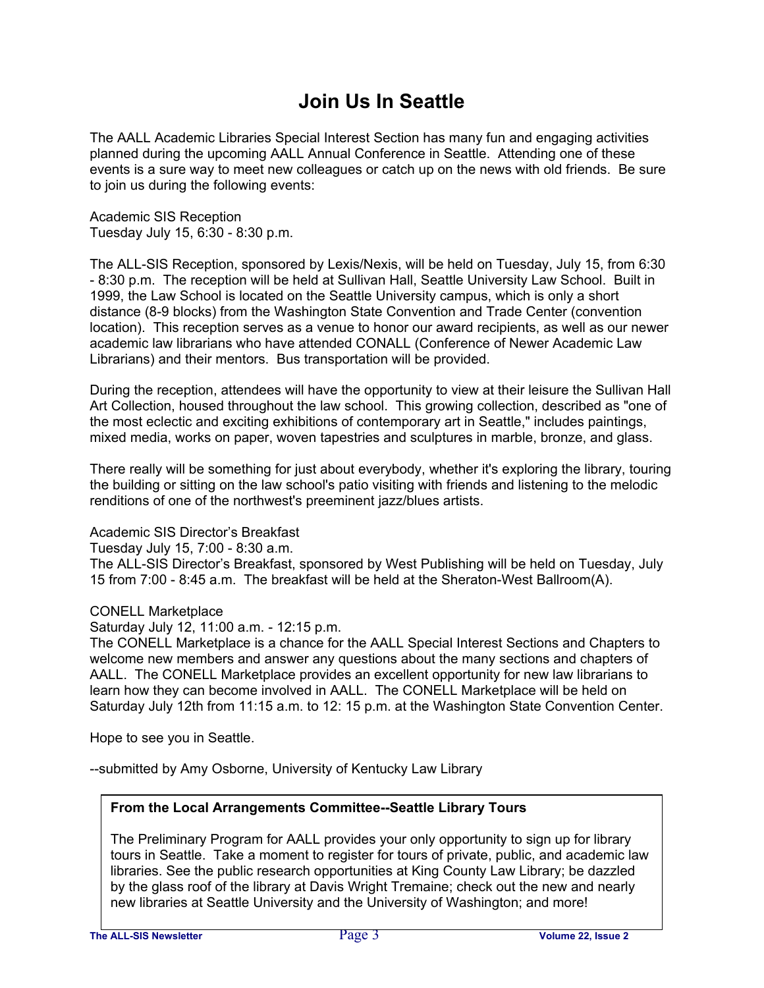# **Join Us In Seattle**

The AALL Academic Libraries Special Interest Section has many fun and engaging activities planned during the upcoming AALL Annual Conference in Seattle. Attending one of these events is a sure way to meet new colleagues or catch up on the news with old friends. Be sure to join us during the following events:

Academic SIS Reception Tuesday July 15, 6:30 - 8:30 p.m.

The ALL-SIS Reception, sponsored by Lexis/Nexis, will be held on Tuesday, July 15, from 6:30 - 8:30 p.m. The reception will be held at Sullivan Hall, Seattle University Law School. Built in 1999, the Law School is located on the Seattle University campus, which is only a short distance (8-9 blocks) from the Washington State Convention and Trade Center (convention location). This reception serves as a venue to honor our award recipients, as well as our newer academic law librarians who have attended CONALL (Conference of Newer Academic Law Librarians) and their mentors. Bus transportation will be provided.

During the reception, attendees will have the opportunity to view at their leisure the Sullivan Hall Art Collection, housed throughout the law school. This growing collection, described as "one of the most eclectic and exciting exhibitions of contemporary art in Seattle," includes paintings, mixed media, works on paper, woven tapestries and sculptures in marble, bronze, and glass.

There really will be something for just about everybody, whether it's exploring the library, touring the building or sitting on the law school's patio visiting with friends and listening to the melodic renditions of one of the northwest's preeminent jazz/blues artists.

### Academic SIS Director's Breakfast

Tuesday July 15, 7:00 - 8:30 a.m. The ALL-SIS Director's Breakfast, sponsored by West Publishing will be held on Tuesday, July 15 from 7:00 - 8:45 a.m. The breakfast will be held at the Sheraton-West Ballroom(A).

### CONELL Marketplace

Saturday July 12, 11:00 a.m. - 12:15 p.m.

The CONELL Marketplace is a chance for the AALL Special Interest Sections and Chapters to welcome new members and answer any questions about the many sections and chapters of AALL. The CONELL Marketplace provides an excellent opportunity for new law librarians to learn how they can become involved in AALL. The CONELL Marketplace will be held on Saturday July 12th from 11:15 a.m. to 12: 15 p.m. at the Washington State Convention Center.

Hope to see you in Seattle.

--submitted by Amy Osborne, University of Kentucky Law Library

### **From the Local Arrangements Committee--Seattle Library Tours**

The Preliminary Program for AALL provides your only opportunity to sign up for library tours in Seattle. Take a moment to register for tours of private, public, and academic law libraries. See the public research opportunities at King County Law Library; be dazzled by the glass roof of the library at Davis Wright Tremaine; check out the new and nearly new libraries at Seattle University and the University of Washington; and more!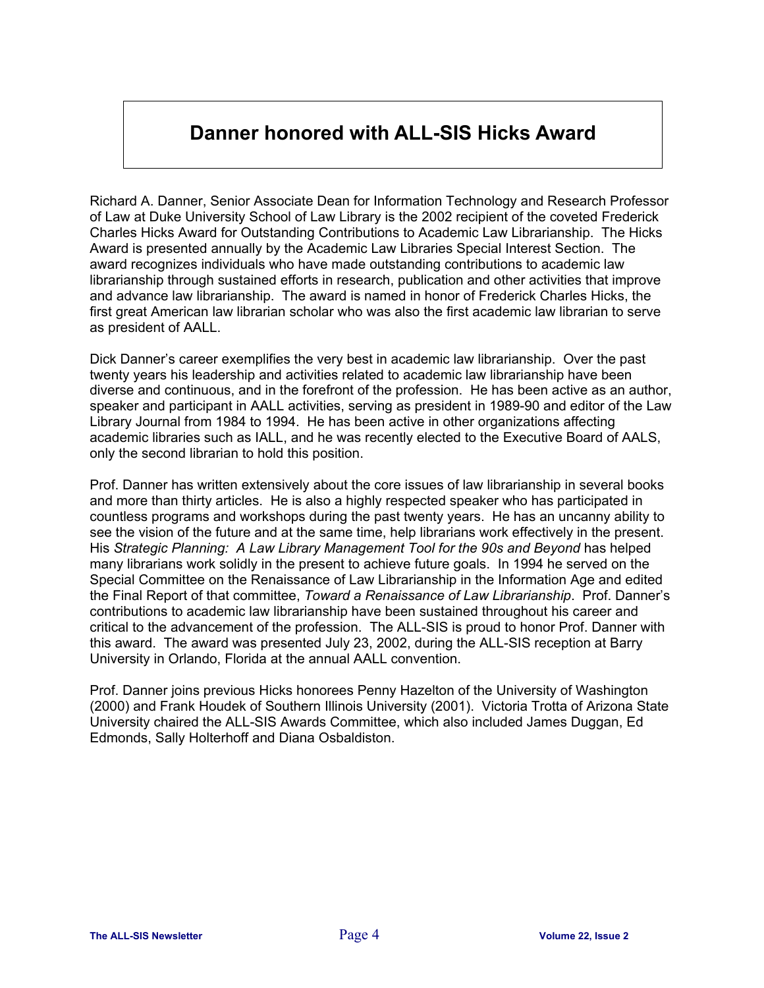# **Danner honored with ALL-SIS Hicks Award**

Richard A. Danner, Senior Associate Dean for Information Technology and Research Professor of Law at Duke University School of Law Library is the 2002 recipient of the coveted Frederick Charles Hicks Award for Outstanding Contributions to Academic Law Librarianship. The Hicks Award is presented annually by the Academic Law Libraries Special Interest Section. The award recognizes individuals who have made outstanding contributions to academic law librarianship through sustained efforts in research, publication and other activities that improve and advance law librarianship. The award is named in honor of Frederick Charles Hicks, the first great American law librarian scholar who was also the first academic law librarian to serve as president of AALL.

Dick Danner's career exemplifies the very best in academic law librarianship. Over the past twenty years his leadership and activities related to academic law librarianship have been diverse and continuous, and in the forefront of the profession. He has been active as an author, speaker and participant in AALL activities, serving as president in 1989-90 and editor of the Law Library Journal from 1984 to 1994. He has been active in other organizations affecting academic libraries such as IALL, and he was recently elected to the Executive Board of AALS, only the second librarian to hold this position.

Prof. Danner has written extensively about the core issues of law librarianship in several books and more than thirty articles. He is also a highly respected speaker who has participated in countless programs and workshops during the past twenty years. He has an uncanny ability to see the vision of the future and at the same time, help librarians work effectively in the present. His *Strategic Planning: A Law Library Management Tool for the 90s and Beyond* has helped many librarians work solidly in the present to achieve future goals. In 1994 he served on the Special Committee on the Renaissance of Law Librarianship in the Information Age and edited the Final Report of that committee, *Toward a Renaissance of Law Librarianship*. Prof. Danner's contributions to academic law librarianship have been sustained throughout his career and critical to the advancement of the profession. The ALL-SIS is proud to honor Prof. Danner with this award. The award was presented July 23, 2002, during the ALL-SIS reception at Barry University in Orlando, Florida at the annual AALL convention.

Prof. Danner joins previous Hicks honorees Penny Hazelton of the University of Washington (2000) and Frank Houdek of Southern Illinois University (2001). Victoria Trotta of Arizona State University chaired the ALL-SIS Awards Committee, which also included James Duggan, Ed Edmonds, Sally Holterhoff and Diana Osbaldiston.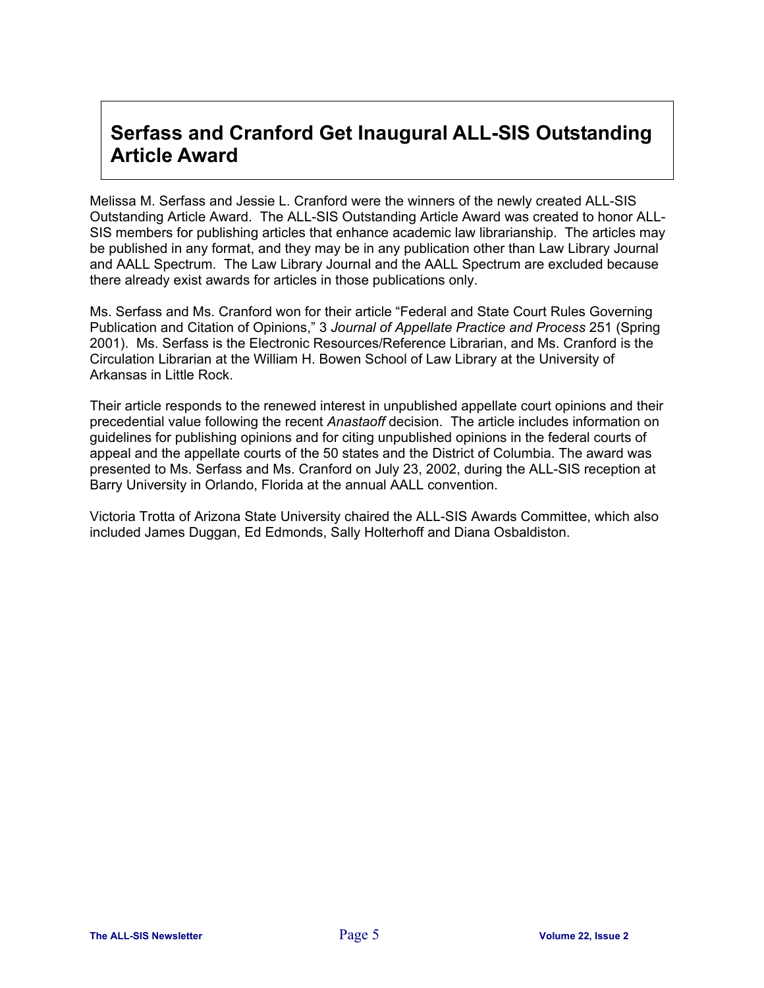## **Serfass and Cranford Get Inaugural ALL-SIS Outstanding Article Award**

Melissa M. Serfass and Jessie L. Cranford were the winners of the newly created ALL-SIS Outstanding Article Award. The ALL-SIS Outstanding Article Award was created to honor ALL-SIS members for publishing articles that enhance academic law librarianship. The articles may be published in any format, and they may be in any publication other than Law Library Journal and AALL Spectrum. The Law Library Journal and the AALL Spectrum are excluded because there already exist awards for articles in those publications only.

Ms. Serfass and Ms. Cranford won for their article "Federal and State Court Rules Governing Publication and Citation of Opinions," 3 *Journal of Appellate Practice and Process* 251 (Spring 2001). Ms. Serfass is the Electronic Resources/Reference Librarian, and Ms. Cranford is the Circulation Librarian at the William H. Bowen School of Law Library at the University of Arkansas in Little Rock.

Their article responds to the renewed interest in unpublished appellate court opinions and their precedential value following the recent *Anastaoff* decision. The article includes information on guidelines for publishing opinions and for citing unpublished opinions in the federal courts of appeal and the appellate courts of the 50 states and the District of Columbia. The award was presented to Ms. Serfass and Ms. Cranford on July 23, 2002, during the ALL-SIS reception at Barry University in Orlando, Florida at the annual AALL convention.

Victoria Trotta of Arizona State University chaired the ALL-SIS Awards Committee, which also included James Duggan, Ed Edmonds, Sally Holterhoff and Diana Osbaldiston.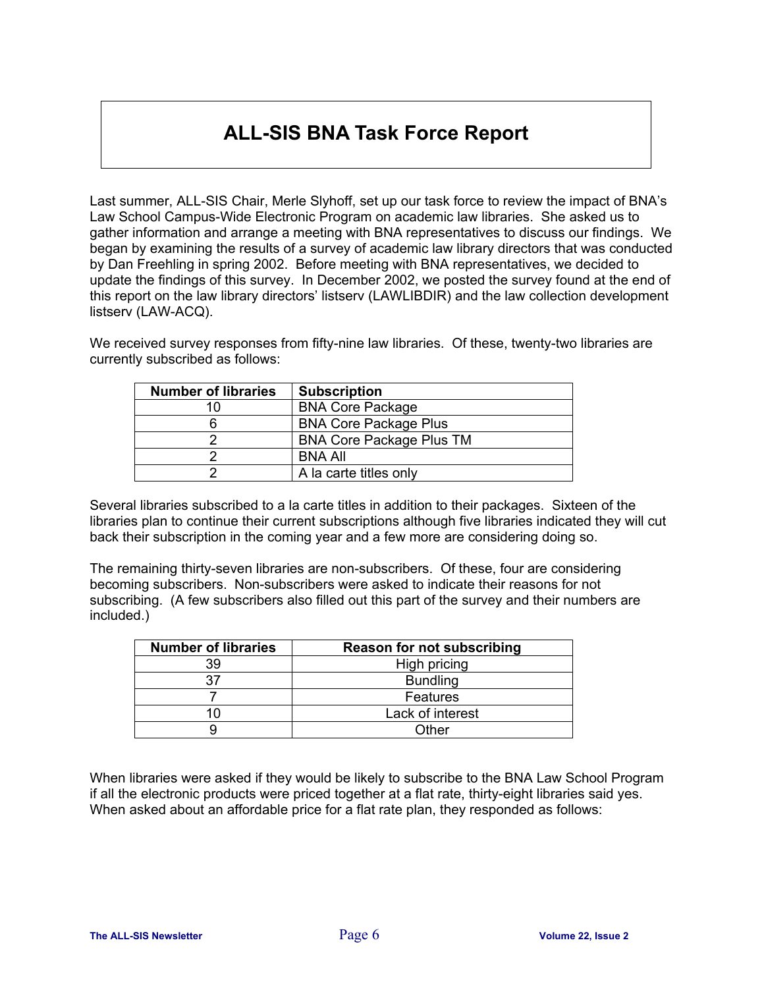# **ALL-SIS BNA Task Force Report**

Last summer, ALL-SIS Chair, Merle Slyhoff, set up our task force to review the impact of BNA's Law School Campus-Wide Electronic Program on academic law libraries. She asked us to gather information and arrange a meeting with BNA representatives to discuss our findings. We began by examining the results of a survey of academic law library directors that was conducted by Dan Freehling in spring 2002. Before meeting with BNA representatives, we decided to update the findings of this survey. In December 2002, we posted the survey found at the end of this report on the law library directors' listserv (LAWLIBDIR) and the law collection development listserv (LAW-ACQ).

We received survey responses from fifty-nine law libraries. Of these, twenty-two libraries are currently subscribed as follows:

| <b>Number of libraries</b> | <b>Subscription</b>             |
|----------------------------|---------------------------------|
| 10                         | <b>BNA Core Package</b>         |
|                            | <b>BNA Core Package Plus</b>    |
|                            | <b>BNA Core Package Plus TM</b> |
|                            | <b>BNA All</b>                  |
|                            | A la carte titles only          |

Several libraries subscribed to a la carte titles in addition to their packages. Sixteen of the libraries plan to continue their current subscriptions although five libraries indicated they will cut back their subscription in the coming year and a few more are considering doing so.

The remaining thirty-seven libraries are non-subscribers. Of these, four are considering becoming subscribers. Non-subscribers were asked to indicate their reasons for not subscribing. (A few subscribers also filled out this part of the survey and their numbers are included.)

| <b>Number of libraries</b> | <b>Reason for not subscribing</b> |
|----------------------------|-----------------------------------|
| 39                         | High pricing                      |
|                            | <b>Bundling</b>                   |
|                            | <b>Features</b>                   |
|                            | Lack of interest                  |
|                            | ∩ther                             |

When libraries were asked if they would be likely to subscribe to the BNA Law School Program if all the electronic products were priced together at a flat rate, thirty-eight libraries said yes. When asked about an affordable price for a flat rate plan, they responded as follows: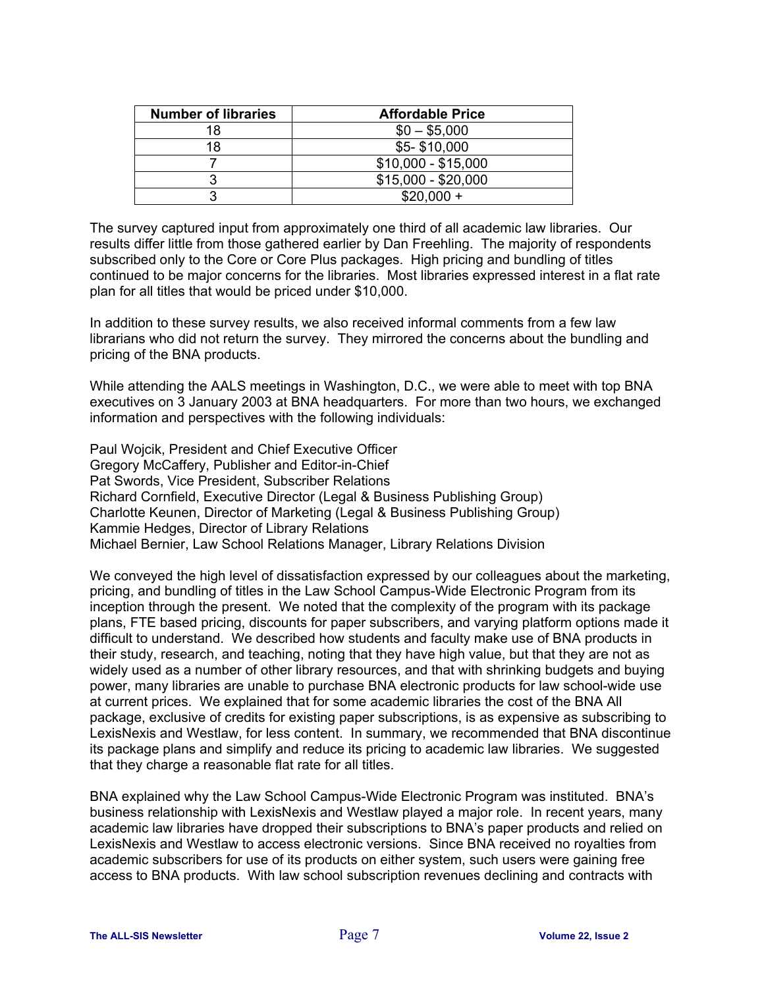| <b>Number of libraries</b> | <b>Affordable Price</b> |
|----------------------------|-------------------------|
| 18                         | $$0 - $5,000$           |
| 18                         | \$5-\$10,000            |
|                            | $$10,000 - $15,000$     |
|                            | $$15,000 - $20,000$     |
|                            | $$20.000 +$             |

The survey captured input from approximately one third of all academic law libraries. Our results differ little from those gathered earlier by Dan Freehling. The majority of respondents subscribed only to the Core or Core Plus packages. High pricing and bundling of titles continued to be major concerns for the libraries. Most libraries expressed interest in a flat rate plan for all titles that would be priced under \$10,000.

In addition to these survey results, we also received informal comments from a few law librarians who did not return the survey. They mirrored the concerns about the bundling and pricing of the BNA products.

While attending the AALS meetings in Washington, D.C., we were able to meet with top BNA executives on 3 January 2003 at BNA headquarters. For more than two hours, we exchanged information and perspectives with the following individuals:

Paul Wojcik, President and Chief Executive Officer Gregory McCaffery, Publisher and Editor-in-Chief Pat Swords, Vice President, Subscriber Relations Richard Cornfield, Executive Director (Legal & Business Publishing Group) Charlotte Keunen, Director of Marketing (Legal & Business Publishing Group) Kammie Hedges, Director of Library Relations Michael Bernier, Law School Relations Manager, Library Relations Division

We conveyed the high level of dissatisfaction expressed by our colleagues about the marketing, pricing, and bundling of titles in the Law School Campus-Wide Electronic Program from its inception through the present. We noted that the complexity of the program with its package plans, FTE based pricing, discounts for paper subscribers, and varying platform options made it difficult to understand. We described how students and faculty make use of BNA products in their study, research, and teaching, noting that they have high value, but that they are not as widely used as a number of other library resources, and that with shrinking budgets and buying power, many libraries are unable to purchase BNA electronic products for law school-wide use at current prices. We explained that for some academic libraries the cost of the BNA All package, exclusive of credits for existing paper subscriptions, is as expensive as subscribing to LexisNexis and Westlaw, for less content. In summary, we recommended that BNA discontinue its package plans and simplify and reduce its pricing to academic law libraries. We suggested that they charge a reasonable flat rate for all titles.

BNA explained why the Law School Campus-Wide Electronic Program was instituted. BNA's business relationship with LexisNexis and Westlaw played a major role. In recent years, many academic law libraries have dropped their subscriptions to BNA's paper products and relied on LexisNexis and Westlaw to access electronic versions. Since BNA received no royalties from academic subscribers for use of its products on either system, such users were gaining free access to BNA products. With law school subscription revenues declining and contracts with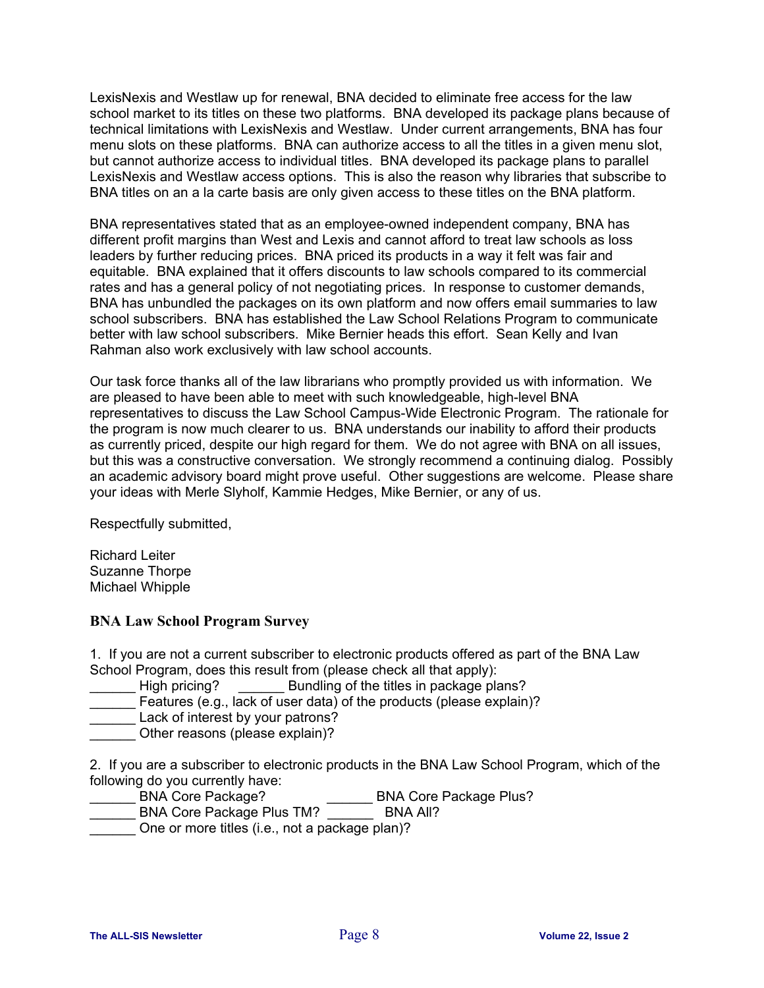LexisNexis and Westlaw up for renewal, BNA decided to eliminate free access for the law school market to its titles on these two platforms. BNA developed its package plans because of technical limitations with LexisNexis and Westlaw. Under current arrangements, BNA has four menu slots on these platforms. BNA can authorize access to all the titles in a given menu slot, but cannot authorize access to individual titles. BNA developed its package plans to parallel LexisNexis and Westlaw access options. This is also the reason why libraries that subscribe to BNA titles on an a la carte basis are only given access to these titles on the BNA platform.

BNA representatives stated that as an employee-owned independent company, BNA has different profit margins than West and Lexis and cannot afford to treat law schools as loss leaders by further reducing prices. BNA priced its products in a way it felt was fair and equitable. BNA explained that it offers discounts to law schools compared to its commercial rates and has a general policy of not negotiating prices. In response to customer demands, BNA has unbundled the packages on its own platform and now offers email summaries to law school subscribers. BNA has established the Law School Relations Program to communicate better with law school subscribers. Mike Bernier heads this effort. Sean Kelly and Ivan Rahman also work exclusively with law school accounts.

Our task force thanks all of the law librarians who promptly provided us with information. We are pleased to have been able to meet with such knowledgeable, high-level BNA representatives to discuss the Law School Campus-Wide Electronic Program. The rationale for the program is now much clearer to us. BNA understands our inability to afford their products as currently priced, despite our high regard for them. We do not agree with BNA on all issues, but this was a constructive conversation. We strongly recommend a continuing dialog. Possibly an academic advisory board might prove useful. Other suggestions are welcome. Please share your ideas with Merle Slyholf, Kammie Hedges, Mike Bernier, or any of us.

Respectfully submitted,

Richard Leiter Suzanne Thorpe Michael Whipple

### **BNA Law School Program Survey**

1. If you are not a current subscriber to electronic products offered as part of the BNA Law School Program, does this result from (please check all that apply):

High pricing? \_\_\_\_\_\_\_\_\_ Bundling of the titles in package plans?

Features (e.g., lack of user data) of the products (please explain)?

Lack of interest by your patrons?

Other reasons (please explain)?

2. If you are a subscriber to electronic products in the BNA Law School Program, which of the following do you currently have:<br>
\_\_\_\_\_\_\_\_ BNA Core Package?

- \_\_ BNA Core Package Plus?
- \_\_\_\_\_\_ BNA Core Package Plus TM? \_\_\_\_\_\_ BNA All?
- One or more titles (i.e., not a package plan)?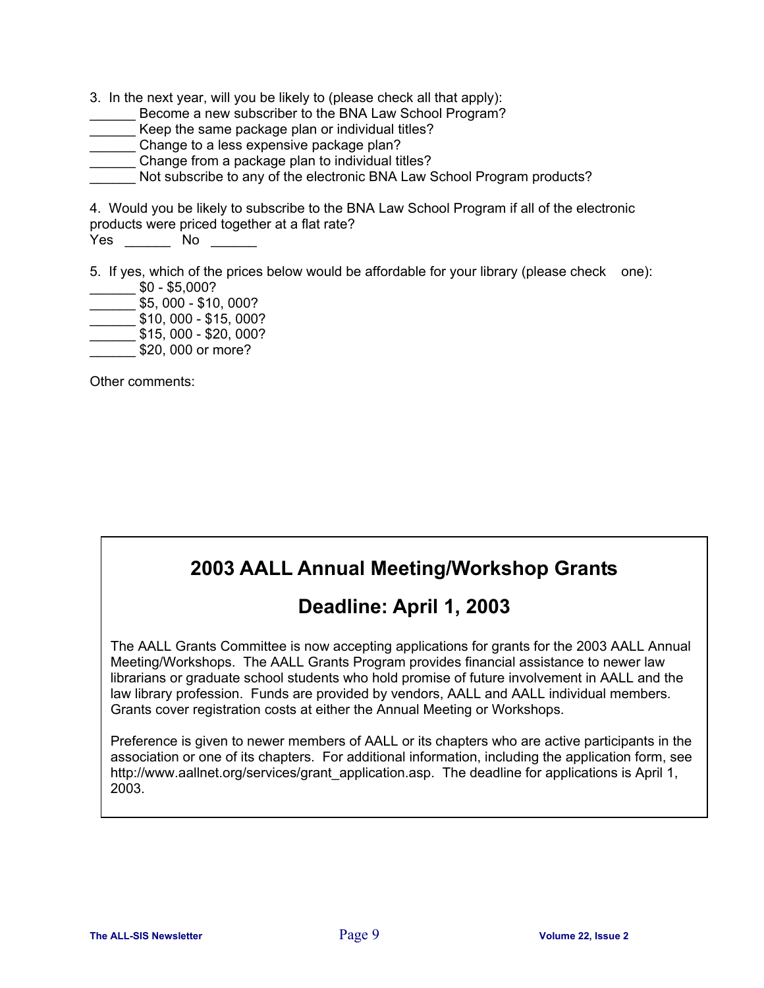3. In the next year, will you be likely to (please check all that apply):

- Become a new subscriber to the BNA Law School Program?
- \_\_\_\_\_\_ Keep the same package plan or individual titles?
- **Change to a less expensive package plan?**
- Change from a package plan to individual titles?
- Not subscribe to any of the electronic BNA Law School Program products?

4. Would you be likely to subscribe to the BNA Law School Program if all of the electronic products were priced together at a flat rate?

Yes No No  $\sim$ 

5. If yes, which of the prices below would be affordable for your library (please check one):  $$0 - $5,000?$ 

- \_\_\_\_\_\_ \$5, 000 \$10, 000?
- $\frac{\$10,000 \$15,000?}{\$}$
- $\_$  \$15, 000 \$20, 000?
- \$20, 000 or more?

Other comments:

# **2003 AALL Annual Meeting/Workshop Grants**

## **Deadline: April 1, 2003**

The AALL Grants Committee is now accepting applications for grants for the 2003 AALL Annual Meeting/Workshops. The AALL Grants Program provides financial assistance to newer law librarians or graduate school students who hold promise of future involvement in AALL and the law library profession. Funds are provided by vendors, AALL and AALL individual members. Grants cover registration costs at either the Annual Meeting or Workshops.

Preference is given to newer members of AALL or its chapters who are active participants in the association or one of its chapters. For additional information, including the application form, see http://www.aallnet.org/services/grant\_application.asp. The deadline for applications is April 1, 2003.